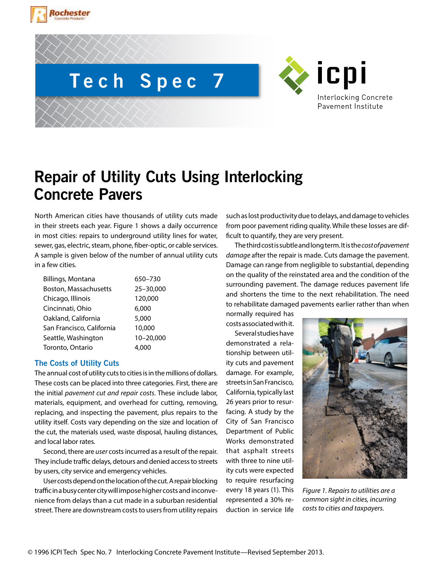





# **Repair of Utility Cuts Using Interlocking Concrete Pavers**

North American cities have thousands of utility cuts made in their streets each year. Figure 1 shows a daily occurrence in most cities: repairs to underground utility lines for water, sewer, gas, electric, steam, phone, fiber-optic, or cable services. A sample is given below of the number of annual utility cuts in a few cities.

| <b>Billings, Montana</b>  | 650-730   |
|---------------------------|-----------|
| Boston, Massachusetts     | 25-30,000 |
| Chicago, Illinois         | 120,000   |
| Cincinnati, Ohio          | 6,000     |
| Oakland, California       | 5,000     |
| San Francisco, California | 10,000    |
| Seattle, Washington       | 10-20,000 |
| Toronto, Ontario          | 4.000     |

# **The Costs of Utility Cuts**

The annual cost of utility cuts to cities is in the millions of dollars. These costs can be placed into three categories. First, there are the initial *pavement cut and repair costs*. These include labor, materials, equipment, and overhead for cutting, removing, replacing, and inspecting the pavement, plus repairs to the utility itself. Costs vary depending on the size and location of the cut, the materials used, waste disposal, hauling distances, and local labor rates.

Second, there are *user* costs incurred as a result of the repair. They include traffic delays, detours and denied access to streets by users, city service and emergency vehicles.

User costs depend on the location of the cut. A repair blocking traffic in a busy center city will impose higher costs and inconvenience from delays than a cut made in a suburban residential street. There are downstream costs to users from utility repairs

such as lost productivity due to delays, and damage to vehicles from poor pavement riding quality. While these losses are difficult to quantify, they are very present.

The third cost is subtle and long term. It is the *cost of pavement damage* after the repair is made. Cuts damage the pavement. Damage can range from negligible to substantial, depending on the quality of the reinstated area and the condition of the surrounding pavement. The damage reduces pavement life and shortens the time to the next rehabilitation. The need to rehabilitate damaged pavements earlier rather than when

normally required has costs associated with it.

Several studies have demonstrated a relationship between utility cuts and pavement damage. For example, streets in San Francisco, California, typically last 26 years prior to resurfacing. A study by the City of San Francisco Department of Public Works demonstrated that asphalt streets with three to nine utility cuts were expected to require resurfacing every 18 years (1). This represented a 30% reduction in service life



*Figure 1. Repairs to utilities are a common sight in cities, incurring costs to cities and taxpayers.*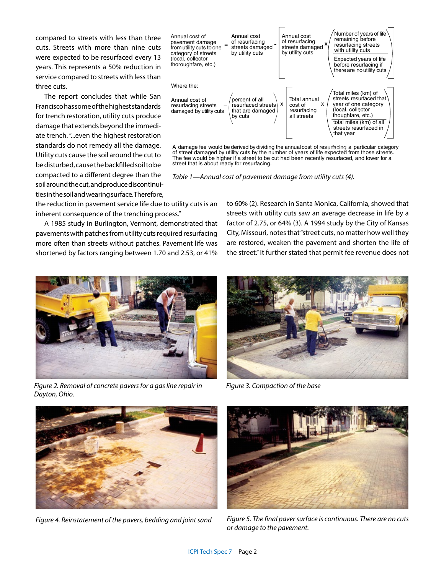compared to streets with less than three cuts. Streets with more than nine cuts were expected to be resurfaced every 13 years. This represents a 50% reduction in service compared to streets with less than three cuts.

The report concludes that while San Francisco has some of the highest standards for trench restoration, utility cuts produce damage that extends beyond the immediate trench. "...even the highest restoration standards do not remedy all the damage. Utility cuts cause the soil around the cut to be disturbed, cause the backfilled soil to be compacted to a different degree than the soil around the cut, and produce discontinuities in the soil and wearing surface. Therefore,



A damage fee would be derived by dividing the annual cost of resurfacing a particular category of street damaged by utility cuts by the number of years of life expected from those streets. The fee would be higher if a street to be cut had been recently resurfaced, and lower for a street that is about ready for resurfacing.

*Table 1—Annual cost of pavement damage from utility cuts (4).*

the reduction in pavement service life due to utility cuts is an inherent consequence of the trenching process."

A 1985 study in Burlington, Vermont, demonstrated that pavements with patches from utility cuts required resurfacing more often than streets without patches. Pavement life was shortened by factors ranging between 1.70 and 2.53, or 41%

to 60% (2). Research in Santa Monica, California, showed that streets with utility cuts saw an average decrease in life by a factor of 2.75, or 64% (3). A 1994 study by the City of Kansas City, Missouri, notes that "street cuts, no matter how well they are restored, weaken the pavement and shorten the life of the street." It further stated that permit fee revenue does not



*Figure 2. Removal of concrete pavers for a gas line repair in Dayton, Ohio.*



*Figure 3. Compaction of the base*





*Figure 4. Reinstatement of the pavers, bedding and joint sand Figure 5. The final paver surface is continuous. There are no cuts or damage to the pavement.*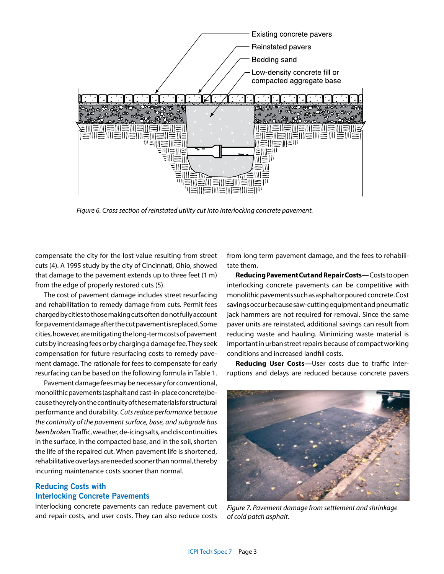

*Figure 6. Cross section of reinstated utility cut into interlocking concrete pavement.*

compensate the city for the lost value resulting from street cuts (4). A 1995 study by the city of Cincinnati, Ohio, showed that damage to the pavement extends up to three feet (1 m) from the edge of properly restored cuts (5).

The cost of pavement damage includes street resurfacing and rehabilitation to remedy damage from cuts. Permit fees charged by cities to those making cuts often do not fully account for pavement damage after the cut pavement is replaced. Some cities, however, are mitigating the long-term costs of pavement cuts by increasing fees or by charging a damage fee. They seek compensation for future resurfacing costs to remedy pavement damage. The rationale for fees to compensate for early resurfacing can be based on the following formula in Table 1.

Pavement damage fees may be necessary for conventional, monolithic pavements (asphalt and cast-in-place concrete) because they rely on the continuity of these materials for structural performance and durability. *Cuts reduce performance because the continuity of the pavement surface, base, and subgrade has been broken.* Traffic, weather, de-icing salts, and discontinuities in the surface, in the compacted base, and in the soil, shorten the life of the repaired cut. When pavement life is shortened, rehabilitative overlays are needed sooner than normal, thereby incurring maintenance costs sooner than normal.

# **Reducing Costs with Interlocking Concrete Pavements**

Interlocking concrete pavements can reduce pavement cut and repair costs, and user costs. They can also reduce costs from long term pavement damage, and the fees to rehabilitate them.

**Reducing Pavement Cut and Repair Costs—** Costs to open interlocking concrete pavements can be competitive with monolithic pavements such as asphalt or poured concrete. Cost savings occur because saw-cutting equipment and pneumatic jack hammers are not required for removal. Since the same paver units are reinstated, additional savings can result from reducing waste and hauling. Minimizing waste material is important in urban street repairs because of compact working conditions and increased landfill costs.

**Reducing User Costs**—User costs due to traffic interruptions and delays are reduced because concrete pavers



*Figure 7. Pavement damage from settlement and shrinkage of cold patch asphalt.*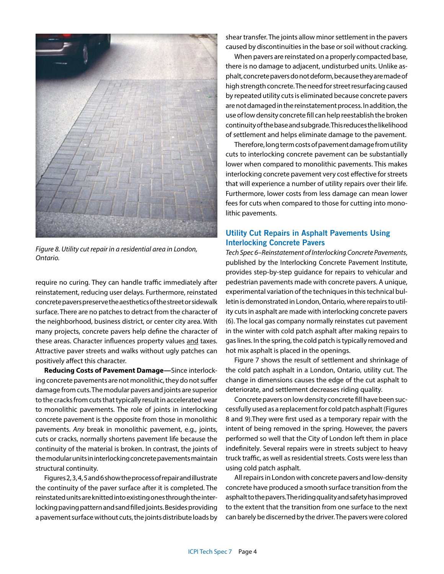*Figure 8. Utility cut repair in a residential area in London, Ontario.* 

require no curing. They can handle traffic immediately after reinstatement, reducing user delays. Furthermore, reinstated concrete pavers preserve the aesthetics of the street or sidewalk surface. There are no patches to detract from the character of the neighborhood, business district, or center city area. With many projects, concrete pavers help define the character of these areas. Character influences property values and taxes. Attractive paver streets and walks without ugly patches can positively affect this character.

**Reducing Costs of Pavement Damage—**Since interlocking concrete pavements are not monolithic, they do not suffer damage from cuts. The modular pavers and joints are superior to the cracks from cuts that typically result in accelerated wear to monolithic pavements. The role of joints in interlocking concrete pavement is the opposite from those in monolithic pavements. *Any* break in monolithic pavement, e.g., joints, cuts or cracks, normally shortens pavement life because the continuity of the material is broken. In contrast, the joints of the modular units in interlocking concrete pavements maintain structural continuity.

Figures 2, 3, 4, 5 and 6 show the process of repair and illustrate the continuity of the paver surface after it is completed. The reinstated units are knitted into existing ones through the interlocking paving pattern and sand filled joints. Besides providing a pavement surface without cuts, the joints distribute loads by shear transfer. The joints allow minor settlement in the pavers caused by discontinuities in the base or soil without cracking.

When pavers are reinstated on a properly compacted base, there is no damage to adjacent, undisturbed units. Unlike asphalt, concrete pavers do not deform, because they are made of high strength concrete. The need for street resurfacing caused by repeated utility cuts is eliminated because concrete pavers are not damaged in the reinstatement process. In addition, the use of low density concrete fill can help reestablish the broken continuity of the base and subgrade. This reduces the likelihood of settlement and helps eliminate damage to the pavement.

Therefore, long term costs of pavement damage from utility cuts to interlocking concrete pavement can be substantially lower when compared to monolithic pavements. This makes interlocking concrete pavement very cost effective for streets that will experience a number of utility repairs over their life. Furthermore, lower costs from less damage can mean lower fees for cuts when compared to those for cutting into monolithic pavements.

# **Utility Cut Repairs in Asphalt Pavements Using Interlocking Concrete Pavers**

*Tech Spec 6–Reinstatement of Interlocking Concrete Pavements*, published by the Interlocking Concrete Pavement Institute, provides step-by-step guidance for repairs to vehicular and pedestrian pavements made with concrete pavers. A unique, experimental variation of the techniques in this technical bulletin is demonstrated in London, Ontario, where repairs to utility cuts in asphalt are made with interlocking concrete pavers (6). The local gas company normally reinstates cut pavement in the winter with cold patch asphalt after making repairs to gas lines. In the spring, the cold patch is typically removed and hot mix asphalt is placed in the openings.

Figure 7 shows the result of settlement and shrinkage of the cold patch asphalt in a London, Ontario, utility cut. The change in dimensions causes the edge of the cut asphalt to deteriorate, and settlement decreases riding quality.

Concrete pavers on low density concrete fill have been successfully used as a replacement for cold patch asphalt (Figures 8 and 9).They were first used as a temporary repair with the intent of being removed in the spring. However, the pavers performed so well that the City of London left them in place indefinitely. Several repairs were in streets subject to heavy truck traffic, as well as residential streets. Costs were less than using cold patch asphalt.

All repairs in London with concrete pavers and low-density concrete have produced a smooth surface transition from the asphalt to the pavers. The riding quality and safety has improved to the extent that the transition from one surface to the next can barely be discerned by the driver. The pavers were colored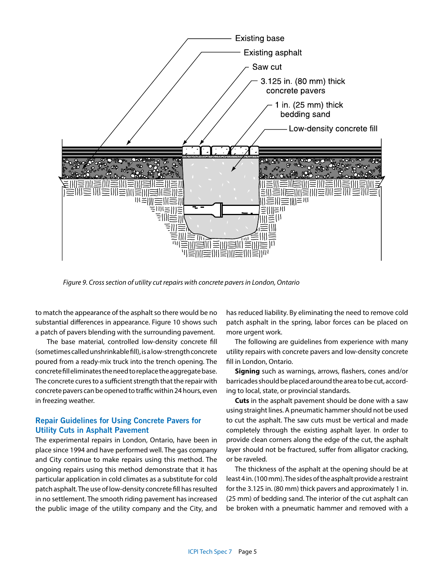

*Figure 9. Cross section of utility cut repairs with concrete pavers in London, Ontario*

to match the appearance of the asphalt so there would be no substantial differences in appearance. Figure 10 shows such a patch of pavers blending with the surrounding pavement.

 The base material, controlled low-density concrete fill (sometimes called unshrinkable fill), is a low-strength concrete poured from a ready-mix truck into the trench opening. The concrete fill eliminates the need to replace the aggregate base. The concrete cures to a sufficient strength that the repair with concrete pavers can be opened to traffic within 24 hours, even in freezing weather.

## **Repair Guidelines for Using Concrete Pavers for Utility Cuts in Asphalt Pavement**

The experimental repairs in London, Ontario, have been in place since 1994 and have performed well. The gas company and City continue to make repairs using this method. The ongoing repairs using this method demonstrate that it has particular application in cold climates as a substitute for cold patch asphalt. The use of low-density concrete fill has resulted in no settlement. The smooth riding pavement has increased the public image of the utility company and the City, and

has reduced liability. By eliminating the need to remove cold patch asphalt in the spring, labor forces can be placed on more urgent work.

The following are guidelines from experience with many utility repairs with concrete pavers and low-density concrete fill in London, Ontario.

**Signing** such as warnings, arrows, flashers, cones and/or barricades should be placed around the area to be cut, according to local, state, or provincial standards.

**Cuts** in the asphalt pavement should be done with a saw using straight lines. A pneumatic hammer should not be used to cut the asphalt. The saw cuts must be vertical and made completely through the existing asphalt layer. In order to provide clean corners along the edge of the cut, the asphalt layer should not be fractured, suffer from alligator cracking, or be raveled.

The thickness of the asphalt at the opening should be at least 4 in. (100 mm). The sides of the asphalt provide a restraint for the 3.125 in. (80 mm) thick pavers and approximately 1 in. (25 mm) of bedding sand. The interior of the cut asphalt can be broken with a pneumatic hammer and removed with a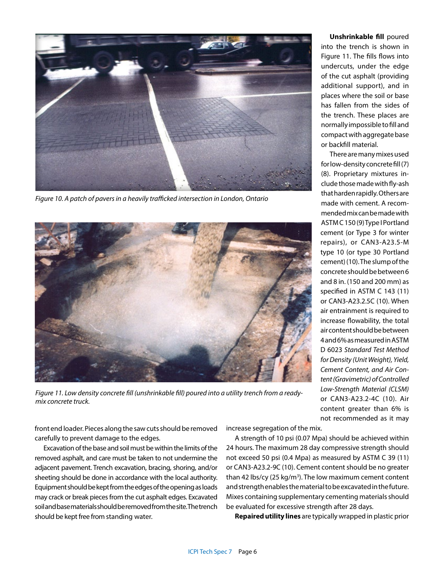

*Figure 10. A patch of pavers in a heavily trafficked intersection in London, Ontario* 



*Figure 11. Low density concrete fill (unshrinkable fill) poured into a utility trench from a readymix concrete truck.*

**Unshrinkable fill** poured into the trench is shown in Figure 11. The fills flows into undercuts, under the edge of the cut asphalt (providing additional support), and in places where the soil or base has fallen from the sides of the trench. These places are normally impossible to fill and compact with aggregate base or backfill material.

There are many mixes used for low-density concrete fill (7) (8). Proprietary mixtures include those made with fly-ash that harden rapidly. Others are made with cement. A recommended mix can be made with ASTM C 150 (9) Type I Portland cement (or Type 3 for winter repairs), or CAN3-A23.5-M type 10 (or type 30 Portland cement) (10). The slump of the concrete should be between 6 and 8 in. (150 and 200 mm) as specified in ASTM C 143 (11) or CAN3-A23.2.5C (10). When air entrainment is required to increase flowability, the total air content should be between 4 and 6% as measured in ASTM D 6023 *Standard Test Method for Density (Unit Weight), Yield, Cement Content, and Air Content (Gravimetric) of Controlled Low-Strength Material (CLSM)* or CAN3-A23.2-4C (10). Air content greater than 6% is not recommended as it may

front end loader. Pieces along the saw cuts should be removed carefully to prevent damage to the edges.

Excavation of the base and soil must be within the limits of the removed asphalt, and care must be taken to not undermine the adjacent pavement. Trench excavation, bracing, shoring, and/or sheeting should be done in accordance with the local authority. Equipment should be kept from the edges of the opening as loads may crack or break pieces from the cut asphalt edges. Excavated soil and base materials should be removed from the site. The trench should be kept free from standing water.

increase segregation of the mix.

A strength of 10 psi (0.07 Mpa) should be achieved within 24 hours. The maximum 28 day compressive strength should not exceed 50 psi (0.4 Mpa) as measured by ASTM C 39 (11) or CAN3-A23.2-9C (10). Cement content should be no greater than 42 lbs/cy (25 kg/m<sup>3</sup>). The low maximum cement content and strength enables the material to be excavated in the future. Mixes containing supplementary cementing materials should be evaluated for excessive strength after 28 days.

**Repaired utility lines** are typically wrapped in plastic prior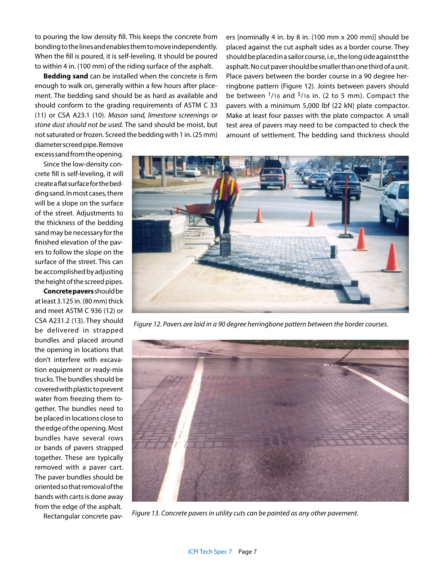to pouring the low density fill. This keeps the concrete from bonding to the lines and enables them to move independently. When the fill is poured, it is self-leveling. It should be poured to within 4 in. (100 mm) of the riding surface of the asphalt.

**Bedding sand** can be installed when the concrete is firm enough to walk on, generally within a few hours after placement. The bedding sand should be as hard as available and should conform to the grading requirements of ASTM C 33 (11) or CSA A23.1 (10). *Mason sand, limestone screenings or stone dust should not be used.* The sand should be moist, but not saturated or frozen. Screed the bedding with 1 in. (25 mm) ers [nominally 4 in. by 8 in. (100 mm x 200 mm)] should be placed against the cut asphalt sides as a border course. They should be placed in a sailor course, i.e., the long side against the asphalt. No cut paver should be smaller than one third of a unit. Place pavers between the border course in a 90 degree herringbone pattern (Figure 12). Joints between pavers should be between  $\frac{1}{16}$  and  $\frac{5}{16}$  in. (2 to 5 mm). Compact the pavers with a minimum 5,000 lbf (22 kN) plate compactor. Make at least four passes with the plate compactor. A small test area of pavers may need to be compacted to check the amount of settlement. The bedding sand thickness should

diameter screed pipe. Remove excess sand from the opening.

Since the low-density concrete fill is self-leveling, it will create a flat surface for the bedding sand. In most cases, there will be a slope on the surface of the street. Adjustments to the thickness of the bedding sand may be necessary for the finished elevation of the pavers to follow the slope on the surface of the street. This can be accomplished by adjusting the height of the screed pipes.

**Concrete pavers** should be at least 3.125 in. (80 mm) thick and meet ASTM C 936 (12) or CSA A231.2 (13). They should be delivered in strapped bundles and placed around the opening in locations that don't interfere with excavation equipment or ready-mix trucks. The bundles should be covered with plastic to prevent water from freezing them together. The bundles need to be placed in locations close to the edge of the opening. Most bundles have several rows or bands of pavers strapped together. These are typically removed with a paver cart. The paver bundles should be oriented so that removal of the bands with carts is done away from the edge of the asphalt. Rectangular concrete pav-



*Figure 12. Pavers are laid in a 90 degree herringbone pattern between the border courses.*



*Figure 13. Concrete pavers in utility cuts can be painted as any other pavement.*